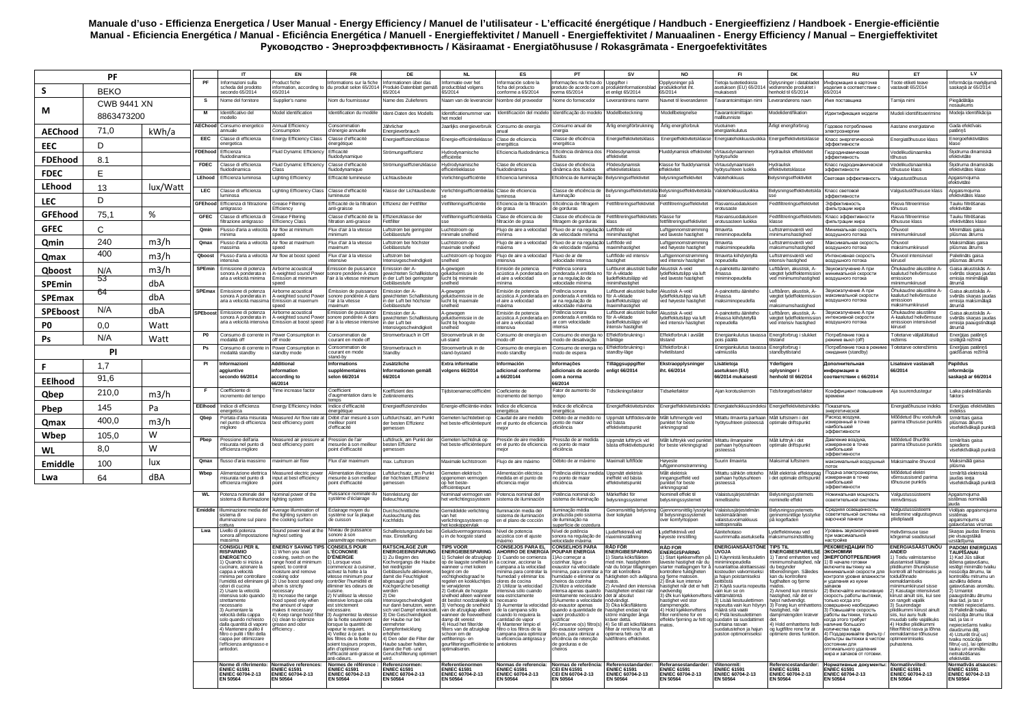## Manuale d'uso - Efficienza Energetica / User Manual - Energy Efficiency / Manuel de l'utilisateur - L'efficacité énergétique / Handbuch - Energieeffizienz / Handboek - Energie-efficiëntie Мапиан - Египерии Силинов и Северной и Силинов и Северной и Силинов и Силинов и Северной и Силинов и Силинов и<br>Мапиан - Eficiencia Energética / Manual - Eficiência Energética / Manuell - Energieffektivitet / Manual - Ener

| PF              |                    |          | $^{\text{IT}}$  | <b>EN</b>                                                                   | <b>FR</b>                                                                     | DE                                                                                     | <b>NL</b>                                                                       | ES                                                                                           | PT                                                                     | <b>SV</b>                                                                                                    | <b>NO</b>                                                                                         | FI.                                                                            | DK                                                                             | <b>RU</b>                                                                   | ET                                                                              | LV                                                                                         |                                                                                             |
|-----------------|--------------------|----------|-----------------|-----------------------------------------------------------------------------|-------------------------------------------------------------------------------|----------------------------------------------------------------------------------------|---------------------------------------------------------------------------------|----------------------------------------------------------------------------------------------|------------------------------------------------------------------------|--------------------------------------------------------------------------------------------------------------|---------------------------------------------------------------------------------------------------|--------------------------------------------------------------------------------|--------------------------------------------------------------------------------|-----------------------------------------------------------------------------|---------------------------------------------------------------------------------|--------------------------------------------------------------------------------------------|---------------------------------------------------------------------------------------------|
| S.              | <b>BEKO</b>        |          | PF              | Informazioni sulla<br>scheda del prodotto<br>secondo 65/2014                | Product fiche<br>35/2014                                                      | Informations sur la fiche<br>formation, according to du produit selon 65/2014          | Informationen über das<br>Produkt-Datenblatt gemäß<br>65/2014                   | Informatie over het<br>productblad volgens                                                   | Información sobre la<br>icha del producti<br>conforme a 65/2014        | Informacões na ficha do I Unnoifter i<br>produto de acordo com a produktinfor<br>norma 65/2014               | et enligt 65/2014                                                                                 | Opplysninger på<br>produktkortet iht.<br>65/2014                               | Tietoja tuotetiedoista<br>etuksen (EU) 65/2014<br>nukaisesti                   | Oplysninger i databladet<br>nde produktet i<br>enhold til 65/2014           | Информация в карточке<br>изделия в соответствии с<br>65/2014                    | roote etiketi teavr<br>astavalt 65/2014                                                    | Informācija markējumā<br>saskanā ar 65/2014                                                 |
|                 | <b>CWB 9441 XN</b> |          | s               | Nome del fornitore                                                          | supplier's name                                                               | Nom du fournisseur                                                                     | Name des Zulieferers                                                            | Naam van de leverancie                                                                       | lombre del proveedor                                                   | Nome do fornecedor                                                                                           | everantörens namn                                                                                 | <b>Navnet til leverandører</b>                                                 | avarantoimittajan nim                                                          | verandørens navr                                                            | Имя поставщика                                                                  | arnija nim                                                                                 | Piegādātāja<br>hosaukums                                                                    |
| М               | 8863473200         |          | M               | Identificativo del<br>modello                                               | Model identification                                                          | Identification du modèle                                                               | Ident-Daten des Modells                                                         | Identificatienummer var<br>het model                                                         | dentificación del model                                                | dentificação do modelo                                                                                       | Modellbeteckning                                                                                  | Modellbetegnelse                                                               | Tavarantoimittaian<br>allitunniste                                             | <b>fodelidentifikation</b>                                                  | Идентификация модели                                                            | Audeli identifitseerimine                                                                  | Modeļa identifikācija                                                                       |
| <b>AEChood</b>  | 71,0               | kWh/a    | AEChood         | Consumo energetico<br>annuale                                               | Annual Efficiency<br>onsumption                                               | Consommation<br>d'énergie annuell                                                      | Jährlicher<br>Energieverbrauch                                                  | Jaarlijks energieverbruil                                                                    | Consumo de energía<br>nual                                             | Consumo anual de<br>ergia                                                                                    | Arlig energiförbrukning                                                                           | Årlig energiforbruk                                                            | Vuotuinen<br>ergiankulutus                                                     | Årligt energiforbrug                                                        | Головое потребление<br>лектроэнергии                                            | Aastane energiatarve                                                                       | Gada efektīvais<br>atēriņš                                                                  |
| EEC             | D                  |          | EEC             | Classe di efficienza<br>energetica                                          | nergy Efficiency Class                                                        | Classe d'efficacité<br>énergétique                                                     | Energieeffizienzklasse                                                          | Energie-efficiëntieklass                                                                     | Clase de eficiencia<br>energética                                      | Classe de eficiência<br>energética                                                                           | Energieffektivitetsklass                                                                          | Energieffektivitetsklass                                                       | Energiatehokkuusluokka                                                         | Energieffektivitetsklass                                                    | Класс энергетической<br>эффективности                                           | nergiatőhususe klass                                                                       | Energoefektivitätes<br>lase                                                                 |
| <b>FDEhood</b>  | 8.1                |          | FDEhood         | Efficienza<br>luidodinamica                                                 | Fluid Dynamic Efficienc                                                       | Efficacité<br>fluidodynamigue                                                          | Strömungseffizienz                                                              | Hydrodynamische<br>efficiëntie                                                               | Eficiencia fluidodinámica                                              | Eficiência dinâmica dos<br>luidos                                                                            | Flödesdynamisl<br>effektivitet                                                                    | luiddynamisk effektivit                                                        | /irtausdynaaminer<br>hvötvsuhde                                                | lydraulisk effektivitet                                                     | Гидродинамическая<br>эффективность                                              | /edelikudünaamika<br>ihusus                                                                | Škidruma dinamiskā<br>efektivitäte                                                          |
| <b>FDEC</b>     | E                  |          | <b>FDEC</b>     | Classe di efficienza<br>luidodinamica                                       | Fluid Dynamic Efficiency<br>laee                                              | Classe d'efficacité<br>fluidodynamique                                                 | Strömungseffizienzklasse                                                        | Hydrodynamische<br>efficiëntieklasse                                                         | Clase de eficiencia<br>fluidodinámica                                  | Classe de eficiência<br>dinâmica dos fluidos                                                                 | Flödesdynamisl<br>effektivitetsklass                                                              | Klasse for fluiddynamis<br>ffektivitet                                         | Virtausdynaamiser<br>hyötysuhteen luokka                                       | Hydraulisk<br>ffektivitetsklasse                                            | Класс гидродинамической<br>эффективности                                        | edelikudünaamika<br>hususe klass                                                           | Škidruma dinamiskās<br>efektivitätes klase                                                  |
| LEhood          |                    | lux/Watt | <b>LEhood</b>   | Efficienza luminosa                                                         | ighting Efficiency                                                            | Efficacité lumineuse                                                                   | Lichtausbeute                                                                   | Verlichtingsefficiëntie                                                                      | Eficiencia luminosa                                                    | Eficiência de iluminação Belysningseffektivitet                                                              |                                                                                                   | selvsningseffektivitet                                                         | Valotehokkuus                                                                  | <b>Belysningseffektivitet</b>                                               | Световая эффективность                                                          | algustustőhusus                                                                            | Apgaismoiuma<br>fektivitäte                                                                 |
|                 | 13<br>D            |          | LEC             | Classe di efficienza<br>uminosa                                             | Lighting Efficiency Class                                                     | Classe d'efficacité<br>umineuse                                                        | Klasse der Lichtausbeute                                                        | Verlichtingsefficiëntieklas Clase de eficiencia                                              | uminosa                                                                | Classe de eficiência de<br>luminação                                                                         |                                                                                                   | Belysningseffektivitetskla Belysningseffektivitetskla                          | Valotehokkuusluokka                                                            | Belysningseffektivitetskla                                                  | Класс световой<br>эффективности                                                 | algustustöhususe klass                                                                     | Apgaismojuma<br>efektivitātes klase                                                         |
| LEC.            |                    |          | <b>GFEhood</b>  | Efficienza di filtrazione<br>antigrasso                                     | rease Filtering<br>Efficiency                                                 | Efficacité de la filtration<br>anti-graisse                                            | Effizienz der Fettfilte                                                         | Vetfilteringsefficiëntie                                                                     | Eficiencia de la filtración<br>de grasa                                | Eficiência de filtragem<br>de gorduras                                                                       | Fettfiltreringseffektivitet                                                                       | Fettfiltreringseffektivite                                                     | Rasvansuodatukser<br>erotusaste                                                | edtfiltreringseffektivite                                                   | Эффективность<br>фильтрации жира                                                | Rasva filtreerimise<br>tõhusus                                                             | Tauku filtrēšanas<br>efektivitäte                                                           |
| <b>GFEhood</b>  | 75,1               | %        | GFEC            | Classe di efficienza di<br>iltrazione antigrasso                            | <b>Grease Filtering</b><br><b>Efficiency Class</b>                            | Classe d'efficacité de la<br>filtration anti-graisse                                   | Effizienzklasse der<br>Fettfilter                                               | Vetfilteringsefficiëntiekla                                                                  | Clase de eficiencia de<br>iltración de grasa                           | Classe de eficiência de<br>filtragem de gorduras                                                             | Fettfiltreringseffektivitets Klasse for<br>klass                                                  | fettfiltreringseffektivitet                                                    | Rasvansuodatuksen<br>erotusasteen luokka                                       | Fedtfiltreringseffektivit<br>klasse                                         | Класс эффективности<br>фильтрации жира                                          | Rasva filtreerimise<br>õhususe klass                                                       | Tauku filtrēšanas<br>afektivitātes klase                                                    |
| <b>GFEC</b>     | C                  |          | Omin            | Flusso d'aria a velocità<br>ninima                                          | Air flow at minimum<br>peed                                                   | Flux d'air à la vitesse<br>minimum                                                     | Luftstrom bei geringster<br><b>Gebläsestufe</b>                                 | uchtstroom op<br>minimale snelheid                                                           | Fluio de aire a velocidad<br>inima                                     | Eluxo de ar na regulação Luftflöde vid<br>de velocidade mínima   minimihastighe                              |                                                                                                   | Luftgjennomstrømming<br>ved laveste hastighet                                  | Ilmavirta<br>niniminopeudella                                                  | Luftstrømsværdi ved<br>ninimumshastighed                                    | Минимальная скорость<br>воздушного потока                                       | Innvnd<br>iinimumkiiruse                                                                   | Minimālais gaisa<br>plūsmas ātrums                                                          |
| Qmin            | 240                | m3/h     | Qmax            | Flusso d'aria a velocità<br>massima                                         | Air flow at maximum<br>speed                                                  | Flux d'air à la vitesse<br>maximum                                                     | I uftstrom bei höchster<br>Gebläsestufe                                         | I uchtstroom op<br>maximale snelheid                                                         | Flujo de aire a velocidad<br>náxima                                    | Fluxo de ar na regulação Luftflöde vid<br>de velocidade máxima   maximihastighe                              |                                                                                                   | Luftgjennomstrømming<br>ved høyeste hastighet                                  | Ilmavirta<br>maksiminopeudella                                                 | I uftstramsværdi ved<br>maksimumshastighed                                  | Максимальная скорость<br>воздушного потока                                      | Innund<br>naksimumkiirusel                                                                 | Maksimālais gaisa<br>plūsmas ātrums                                                         |
| Qmax            | 400                | m3/h     | Qboos           | Flusso d'aria a velocità<br>ntensiva                                        | ir flow at boost speed                                                        | Flux d'air à la vitesse<br>intensive                                                   | Luftstrom bei<br>Intensivgeschwindigkeit                                        | Luchtstroom op hoogste<br>snelheid                                                           | Flujo de aire a velocidad<br>intensiva                                 | Fluxo de ar de<br>velocidade intensa                                                                         | Luftflöde vid intensiv<br>hastighet                                                               | Luftgjennomstrømming<br>ved intensiv hastighet                                 | Imavirta kiihdytetyllä<br>nopeudella                                           | Luftstrømsværdi ved<br>ntensiv hastighed                                    | Интенсивная скорость<br>воздушного потока                                       | Öhuvool intensiivsel<br>iirusel                                                            | Palielināts gaisa<br>plūsmas ātrums                                                         |
| <b>Qboost</b>   | N/A<br>53          | m3/h     | <b>SPEmin</b>   | Emissione di potenza<br>sonora A nonderata in<br>aria a velocità minima     | virborne acoustical<br>.<br>weighted sound Powe<br>Imission at minimum        | Émission de puissance<br>sonore nondérée A dans<br>l'air à la vitesse minimui          | Emission der A-<br>ewichteten Schallleis<br>der Luft bei geringster             | A-gewogen<br>re genegen<br>geluidsemissie in de<br>lucht bij minimale                        | Emisión de potencia<br>cústica A ponderada<br>l aire a velocidad       | Potência sonora<br>onderada A emitida r<br>ar na regulação de                                                | Luftburet akustiskt buller Akustisk A-veid<br>för A-viktade<br>ljudeffektutsläpp vid              | Ivdeffektutslinn via luft<br>ed laveste hastighet                              | A-painotettu ääniteho<br>ilmassa<br>iniminopeudella                            | Luftbåren, akustisk, A-<br>væntet lydeffektemissio<br>ed minimumshastighed  | Звукоизлучение А при<br>лнимальной скорости<br>воздушного потока                | .<br>Šhukaudne akustiline A-<br>aalutud helivõimsuse<br>nissioon                           | Gaisa akustiskās A-<br>svērtās skanas jaudas<br>misija minimālajā                           |
| <b>SPEmin</b>   | 64                 | dbA      | <b>SPEmax</b>   | Emissione di potenza                                                        | eed<br>Airborne acoustical                                                    | Émission de puissance                                                                  | Gebläsestufe<br>Emission der A-                                                 | snelheid<br>A-gewogen                                                                        | inima<br>Emisión de potencia                                           | elocidade mínima<br>Potência sonora                                                                          | minimihastighet<br>Luftburet akustiskt buller                                                     | Akustisk A-veid                                                                | A-painotettu ääniteho                                                          | Luftbåren, akustisk, A-                                                     | Звукоизлучение А при                                                            | iinimumkiirusel<br>.<br>Shukaudne akustiline A                                             | ātrumā<br>Gaisa akustiskās A-                                                               |
| <b>SPEmax</b>   |                    | dbA      |                 | sonora A ponderata in<br>aria a velocità mass                               | -<br>∿-weighted sound Power<br>Emission at maximum<br>peed                    | sonore pondérée A dans<br>l'air à la vitesse                                           | gewichteten Schallleistun<br>der Luft bei höchster<br>Gebläsestufe              | geluidsemissie in de<br>lucht bij maximale                                                   | acústica A nonderada e<br>l aire a velocidad                           | ponderada A emitida no<br>ar na regulação de<br>velocidade máxima                                            | för A-viktade<br>liudeffektutslänn vid<br>naximihastighet                                         | lydeffektutslipp via luft<br>ved høyeste hastighet                             | ilmassa<br>maksiminopeudella                                                   | vægtet lydeffektemission<br>/ed<br>aksimumshastighed                        | максимальной скорости<br>воздушного потока                                      | aalutud helivõimsuse<br>missioon<br>naksimumkiirusel                                       | svērtās skaņas jaudas<br>emisija maksimālajā<br>ātrumā                                      |
| <b>SPEboost</b> | N/A                | dbA      |                 | SPEhoost Emissione di potenza<br>sonora A ponderata ir                      | Airborne acoustical<br>weighted sound Pov                                     | haximum<br>Émission de nuissance<br>sonore pondérée A dan:                             | Emission der A                                                                  | snelheid<br>A-gewogen<br>geluidsemissie in de                                                | axima<br>Emisión de notencia<br>cústica A ponderada                    | Potência sonora<br>ponderada A emitida                                                                       | Luftburet akustiskt buller Akustisk A-veid<br>för A-viktade                                       | lydeffektutslipp via luft                                                      | A-painotettu ääniteho<br>ilmassa kiihdytetyllä                                 | uftbåren, akustisk, A-<br>vægtet lydeffektemissio                           | Звукоизпучение А при<br>тенсивной скорости                                      | Öhukaudne akustiline<br>-kaalutud helivõims                                                | Gaisa akustiskās A-<br>svērtās skaņas jaudas                                                |
| P0              | 0.0                | Watt     |                 | aria a velocità intensiva                                                   | Emission at boost speed                                                       | l'air à la vitesse intensiv                                                            | n der Luft bei<br>Intensivgeschwindigkeit                                       | lucht bij hoogste<br>snelheid                                                                | al aire a velocidad<br>tensiva                                         | ar com velocidade<br>ntensa                                                                                  | liudeffektutsläpp vid<br>intensiv hastighet                                                       | ved intensiv hastighet                                                         | chebueco                                                                       | ved intensiv hastighed                                                      | воздушного потока                                                               | missioon intensiivsel<br>iirusel                                                           | emisija paaugstinātajā<br>atruma                                                            |
| Ps              | N/A                | Watt     | P <sub>0</sub>  | Consumo di corrente in<br>nodalità off                                      | Power Consumption in<br>off mode                                              | Consommation de<br>courant en mode off                                                 | Stromverbrauch in Off                                                           | Stroomverbruik in de<br>uit-stand                                                            | Consumo de energía er<br>tho off                                       | Consumo de energia no<br>nodo de desativação                                                                 | Effektförbrukning i<br>frånläge                                                                   | Effektforbruk i avslått<br>ilstand                                             | Energiankulutus tavassa<br>pois päältä                                         | Energiforbrug i slukket<br>ilstand                                          | Потребление тока в<br>киме выкл (off)                                           | Toitetarve väljalülitatud<br>ežiimis                                                       | Enerģijas patērinš<br>zslēgtā režīmā                                                        |
|                 | <b>PI</b>          |          | Ps              | Consumo di corrente in<br>nodalità standby                                  | Power Consumption in<br>standby mode                                          | Consommation de<br>courant en mode<br>stand-by                                         | Stromverbrauch in<br>Standby                                                    | Stroomverbruik in de<br>stand-bystand                                                        | Consumo de energía er<br>nodo standby                                  | Consumo de energia no<br>todo de espera                                                                      | Effektförbrukning i<br>standby-läge                                                               | Effektforbruk<br>dletilstand                                                   | Energiankulutus tavassa<br>almiustila                                          | Energiforbrug<br>standbytilstand                                            | Потребление тока в реж<br>жидания (standby)                                     | loitetarve ooterežiimis                                                                    | Energijas patērinš<br>gaidīšanas režīmā                                                     |
| F.              | 1,7                |          | PI              | Informazioni<br>aggiuntive                                                  | dditional<br><b>iformation</b>                                                | <b>Informations</b><br>supplémentaires                                                 | Zusätzliche<br>Informationen gemäß                                              | <b>Extra informatio</b><br>volgens 66/2014                                                   | Información<br>adicional conforme                                      | Informacões<br>adicionais de acordo                                                                          | <b>Tilläggsuppgifte</b><br>enligt 66/2014                                                         | Ekstraopplysninger<br>iht. 66/2014                                             | Lisätietoja<br>asetuksen (EU)                                                  | Yderligere<br>oplvsninger i                                                 | Дополнительная<br>информация в                                                  | Lisateave vastavalt<br>66/2014                                                             | Papildus<br>informācija                                                                     |
| <b>EElhood</b>  | 91,6               |          |                 | secondo 66/2014                                                             | <b>according</b> to<br>66/2014                                                | selon 66/2014                                                                          | 66/2014                                                                         |                                                                                              | a 66/20144                                                             | com a norma<br>66/2014                                                                                       |                                                                                                   |                                                                                | 66/2014 mukaisesti                                                             | henhold til 66/2014                                                         | соответствии с 66/2014                                                          |                                                                                            | saskaņā ar 66/2014                                                                          |
| Qbep            | 210,0              | m3/h     |                 | Coefficiente di<br>ncremento del tempo                                      | l'ime increase factor                                                         | Coefficient<br>d'augmentation dans le                                                  | Koeffizient des<br>Zeitinkrements                                               | Tiidstoenamecoëfficiënt                                                                      | Coeficiente de<br>cremento del tiempo                                  | Fator de aumento de<br>tempo                                                                                 | Tidsökningsfaktor                                                                                 | Tidsøkefaktor                                                                  | Aian korotuskerroin                                                            | Tidsforøgelsesfaktor                                                        | Коэффициент повышения                                                           | <b>Nia suurendustegur</b>                                                                  | Laika palielināšanās<br>aktors                                                              |
| Pbep            | 145                | Pa       | <b>EEIhood</b>  | Indice di efficienza<br>energetica                                          | nergy Efficiency Index                                                        | Indice d'efficacité<br>nergétique                                                      | Energieeffizienzinde:                                                           | Energie-efficiëntie-index                                                                    | ndice de eficiencia<br>energética                                      | Indice de eficiência<br>energética                                                                           | Energieffektivitetsindex                                                                          | Energieffektivitetsindeks                                                      | Energiatehokkuusindeks                                                         | Energieffektivitetsindeks                                                   | Показатель<br>нергетической                                                     | Energiatõhususe indeks                                                                     | Enerģijas efektivitātes<br>ndekss                                                           |
| Qmax            | 400,0              | m3/h     | Qbep            | Portata d'aria misurata<br>el punto di efficienza<br>nigliore               | est efficiency point                                                          | Measured Air flow rate at I Débit d'air mesuré à son<br>meilleur noint<br>d'efficacité | Luftdurchsatz, am Punkt<br>der besten Effizienz<br>aemessen                     | Gemeten luchtdebiet oc<br>het beste-efficiëntiepur                                           | Caudal de aire medido<br>n el punto de eficiencia<br>eior              | Débito de ar medido no<br>onto de maior<br>ficiência                                                         | Uppmätt luftflödesvärde<br>atzikd biv<br>effektivitetspunkt                                       | Målt luftmengde ved<br>punktet for beste<br>irkningsgrad                       | Mitattu ilmavirta parhaan<br>hyötysuhteen pisteessä                            | Målt luftstrøm i det<br>ootimale driftspunkt                                | Расход воздуха<br>измеренный в точке<br>наибольшей                              | vlőődetud őhu vooluhulk<br>xarima tõhususe punktis                                         | Izmērītais gaisa<br>olūsmas ātrums<br>isefektīvākajā punktā                                 |
| Wbep            | 105,0              | W        | Pbep            | ressione dell'aria                                                          | Measured air pressure at                                                      | Pression de l'air                                                                      | Luftdruck, am Punkt der                                                         | Gemeten luchtdruk op                                                                         | esión de aire medido                                                   | ressão de ar medida                                                                                          | Uppmätt lufttryck vid                                                                             | Målt lufttrykk ved punktet Mitattu ilmanpaine                                  |                                                                                | Målt lufttryk i det                                                         | эффективности<br>Давление воздуха                                               | Mőődetud őhurőhk                                                                           | zmērītais gaisa                                                                             |
| WL              | 8,0                | W        |                 | nisurata nel punto di<br>efficienza migliore                                | pest efficiency point                                                         | mesurée à son meilleu<br>point d'efficacité                                            | besten Effizienz<br>demessen                                                    | het beste-efficiëntiepun                                                                     | en el punto de eficiencia<br>ejor                                      | no ponto de maior<br>ficiência                                                                               | båsta effektivitetspunkt                                                                          | or beste virkningsgrad                                                         | parhaan hyötysuhteen<br>isteessä                                               | potimale driftspunkt                                                        | измеренное в точке<br>наибольшей<br>эффективности                               | arima tõhususe punktis                                                                     | spiediens<br>isefektīvākajā punktā                                                          |
| Emiddle         | 100                | lux      | Qmax            | lusso d'aria massimo                                                        | naximum air flow                                                              | Flux d'air maximum                                                                     | max. Luftstrom                                                                  | Maximale luchtstroom                                                                         | Fluio de aire máximo                                                   | Débito de ar máximo                                                                                          | Maximalt luftflöde                                                                                | Høyeste<br>uftgjennomstrømr                                                    | Suurin ilmavirta                                                               | Aaksimal luftstrøm                                                          | максимальный воздушный                                                          | Vaksimaalne õhuvool                                                                        | Maksimālā gaisa<br>olüsma                                                                   |
| Lwa             | 64                 | dBA      | Wbep            | Alimentazione elettrica<br>nisurata nel punto di<br>efficienza migliore     | sured electric power<br>input at best efficiency                              | Alimentation électrique<br>mesurée à son meilleur<br>point d'efficacité                | Luftdurchsatz, am Punkt<br>der höchsten Effizienz<br>nessen                     | Gemeten elektrisch<br>opgenomen vermogen<br>op het beste-<br>efficiëntiepunt                 | Alimentación eléctrica<br>medida en el nunto de<br>eficiencia mejor    | 'otência elétrica medida Uppmätt elel<br>no ponto de maior<br>iciência                                       | ineffekt vid bästa<br>effektivitetspunkt                                                          | Målt elektrisk<br>inngangseffekt ved<br>nunktet for beste<br>irkningsgrad      | Mitattu sähkön ottoteho<br>parhaan hyötysuhteen<br><b>isteessä</b>             | Vlålt elektrisk effektootad<br>det optimale driftspunkt                     | Подача электроэнергии<br>измеренная в точке<br>наибольшей<br>эффективности      | Mõõdetud elektri<br>õimsussisend parima<br>õhususe punktis                                 | Izmērītā elektriskā<br>iaudas ieeia<br>visefektīvākajā punktā                               |
|                 |                    |          | $\overline{WL}$ | Potenza nominale del<br>istema di illuminazion                              | Nominal power of the<br>ighting system                                        | Puissance nominale di<br>svstème d'éclairage                                           | Nennleistung der<br>Releuchtung                                                 | Nominaal vermogen van<br>het verlichtings                                                    | Potencia nominal del<br>stema de iluminación                           | Potência nominal do<br>istema de iluminacão                                                                  | Märkeffekt för<br>alysningssysteme                                                                | Nominell effekt til<br>elysningssysteme                                        | Valaistusiäriestelmän<br>mellisteho                                            | Belvsningssystemets<br>ominelle effekt                                      | Номинальная мошность<br>светительной системь                                    | /algustussüsteemi                                                                          | Apgaismojuma<br>stēmas nominālā<br>jauda                                                    |
|                 |                    |          | Emiddle         | Illuminazione media del<br>sistema di<br>illuminazione sul piano<br>cottura | verage illumination of<br>the lighting system on<br>the cooking surface       | Éclairage moyen du<br>système sur la plaque<br>de cuisson                              | Durchschnittliche<br>Ausleuchtung des<br>Kochfelds                              | Gemiddelde verlichting<br>van het<br>verlichtingssysteem op<br>het kookoppervlak             | uminación media del<br>stema de iluminación<br>n el plano de cocción   | uminação média<br>produzida pelo sister<br>de iluminação na<br>superfície de cozedur                         | Genomsnittlig belysning<br>över kokytan                                                           | Gjennomsnittlig lysstyrk<br>til belysningssystemet<br>over komfyrtoppen        | alaistusjärjestelmän<br>eskimääräinen<br>valaistusvoimakkuus<br>ceittopinnalla | Belysningssystemets<br>gennemsnitlige lysstyrl<br>på kogefladen             | Спелняя освещенность<br>светительной системы н<br>варочной панели               | algustussüsteemi<br>kmine valgustugevus<br><b>didiplaadil</b>                              | Vidējais apgaismojuma<br>sistēmas<br>apgaismojums uz<br>gatavošanas virsmas                 |
|                 |                    |          | Lwa             | ivello di potenza<br>sonora all'impostazione<br>naccima                     | Sound power level at the<br>highest setting                                   | Niveau de puissance<br>sonore à sor<br>paramétrage maximun                             | Schallleistungsstufe bei<br>max. Einstellung                                    | Geluidsvermogensnive<br>u in de hoogste stand                                                | ivel de potencia<br>acústica con el aiuste<br>náximo                   | Vível de potência<br>sonora na regulação de<br>elocidade máxima                                              | Liudeffektnivå vid<br>aximiinställning                                                            | vdeffektnivå ved<br>ayeste innstilling                                         | Äänitehotaso<br>suurimmalla asetuksella                                        | vdeffektniveau ved<br>haksimumsindstilling                                  | ровень звукоизлучени:<br>при максимальной<br><b>ІСТ</b> ДОЙКӨ                   | lelivõimsuse tase<br>orgeimal seadistusel                                                  | Skaņas jaudas līmenis<br>pie visaugstākā<br>zstādījuma                                      |
|                 |                    |          |                 | <b>CONSIGLI PER IL</b><br>RISPARMIO<br><b>ENERGETICO</b>                    | <b>ENERGY SAVING TIPS</b><br>When you start<br>ooking, switch on the          | CONSEILS POUR<br>L'ÉCONOMIE<br>)'ÉNERGIE                                               | <b>RATSCHLÄGE ZUR</b><br><b>ENERGIEEINSPARUNG</b><br>1) Zu Beginn des           | <b>TIPS VOOR</b><br><b>ENERGIEBESPARING</b><br>) Schakel de afzujokar                        | CONSEJOS PARA EL<br><b>AHORRO DE ENERGÍA</b><br>Cuando se comienza     | CONSELHOS PARA<br><b>POUPAR ENERGIA</b><br>Ao comecar a                                                      | <b>RÁD FÖR</b><br>ENERGIBESPARING<br>) Starta köksfläkten                                         | <b>RAD FOR</b><br><b>ENERGISPARING</b><br>I) Start kiøkkenviften r             | <b>ENERGIANSÄÄSTÖNE</b><br><b>ALOVU</b><br>Käynnistä liesituuletir             | <b>TIPS TIL</b><br>ENERGIBESPARELSE<br>1) Tænd emhætten ved                 | <b>РЕКОМЕНДАЦИИ ПО</b><br> ЭКОНОМИИ<br> ЭНЕРГОПОТРЕБЛЕНИЯ                       | <b>ENERGIASÄÄSTUNÖU</b><br><b>INDED</b><br>Toidu valmistamise                              | PADOMI ENERGIJAS<br>TAUPĪŠANAI<br>1) Kad Jūs sākat                                          |
|                 |                    |          |                 | ) Quando si inizia a<br>cucinare, azionare la                               | ange hood at minimum<br>peed, to control                                      | Lorsque vous<br>ommencez à cuisiner                                                    | Kochvorgangs die Haube<br>bei niedrigster                                       | op de laagste snelheid<br>wanneer û met koker                                                | cocinar, accionar la<br>ampana a la velocidad                          | cozinhar, ligue o<br>exaustor na velocidade                                                                  | med min. hastigheten<br>när du börjar tillagningen                                                | este hastighet når d<br>starter matlagingen for a                              | iminopeudella<br>uoanlaittoa aloittaess                                        | imumshastighed, na<br>u begynder                                            | .<br>ключите вытяжку на                                                         | ustamisel lülitage<br>idikumm õhuniiskuse                                                  | idiena gatavošanu<br>eslēgt minimālo tvaiku                                                 |
|                 |                    |          |                 | cappa a velocità<br>minima per controllare<br>l'umidità ed eliminare gli    | oisture and remove<br>Use boost speed only                                    | activez la hotte à la<br>esse minimum pou<br>contrôler l'humidité et                   | Gebläsestufe aktivieren<br>damit die Feuchtigkeit<br>abgesaugt und              | begint om de<br>vochtigheidsgraad te<br>regelen en kookluchtjes                              | ínima para controlar la<br>umedad y eliminar los<br>vlores de cocina   | ínima, para controlar a Íför att kontrollera<br>numidade e eliminar os<br>cheiros da cozinha                 | fuktigheten och avlägsr<br>natos                                                                  | kontrollere fuktioheten<br>og fjerne matosen.<br>2) Bruk kun intensiv          | kosteuden valvomiseksi<br>hajun poistamiseksi                                  | tilberedningen, Således<br>kan du kontrollere<br>ugthalten og fjerne        | инимальной скорости для<br>нтроля уровня влажности<br>и удаления из кухни       | ontrolli all hoidmiseks ia<br>idulõhnade<br>emaldamiseks                                   | osūcēja ātrumu, lai<br>kontrolētu mitrumu un<br>aizvāktu ēdiena                             |
|                 |                    |          |                 | odori di cucina<br>1) Usare la velocità<br>ntensiva solo quando             | when is strictly<br>Increase the range                                        | éliminer les odeurs de<br>2) N'utilisez la vitesse                                     | Kochgerüche beseitigt<br>2) Die                                                 | te verwijderen<br>Gebruik de hoogste<br>elheid alleen wannee                                 | I Utilizar la velocidad<br>ensiva sólo cuando<br>ea estrictamente      | 2) Utilize a velocidade<br>nsa apenas quando<br>ritamente necessário                                         | 2) Använd den intensiva<br>stigheten endast när<br>det är absolut                                 | jastighet når det er helt<br>3) Øk kun kiøkkenvifter                           | 2) Käytä suurta nopeutta<br>ain kun se on<br>välttämätöntä                     | mados.<br>2) Anvend kun intensiy<br>astighed, når det er                    | anaxon<br><br>Включайте интенсивную<br>скорость работы вытяжки,                 | inimumkiirusel sisse<br>Kasutage intensiivset<br>irust ainult siis, kui see                | atavošanas aromātu<br>) Izmantot<br>paaugstinätu ätrumu                                     |
|                 |                    |          |                 | strettamente<br>sustantento<br>necessario<br>3) Aumentare la                | lood speed only when<br>he amount of vapor<br>makes it necessary              | intensive lorsque cela<br>est strictement                                              | Intensivaeschwindiakeit<br>nur dann benutzen, wenn<br>sich viel Dampf entwickel | dit beslist noodzakeliik i<br>Verhoog de snelheid                                            | ecesario<br>Aumentar la velocida                                       | Aumente a velocidade<br>do exaustor apenas<br>quando a quantidade de                                         | ödvändigt.<br>3) Öka köksfläkten:                                                                 | hastighet ved stor<br>Jampmennde<br>engde                                      | 3) Lisää liesituulettimen<br>peutta vain kun höyry                             | øist nødvendigt<br>) Forøg kun emha                                         | голько когда это<br>поло когда ото<br>вершенно необходимо<br>Повышайте скорость | rangelt vaialik<br>nangen vejam<br>Suurendage<br>idikummi kiirust ainult                   | ikai tad, ja tas ir<br>nar tau, ja tas ir<br>hoteikti nepieciešams.<br>3) Palielināt tvaiku |
|                 |                    |          |                 | velocità della cappa<br>solo quando richiesto<br>dalla quantità di vapore   | Keep range hood filte<br>s) clean to optimize                                 | cessaire.<br>3) Augmentez la vitesse<br>de la hotte seulement                          | 3) Die Geschwindigkeit<br>der Haube nur be                                      | van de afzuigkap allee<br>wanneer de hoeveelhei<br>damp dit vereist<br>4) Houd het filter/de | e la campana sólo<br>uando lo reguiera la<br>antidad de vapor          | vapor produzido o                                                                                            | stighet endast när<br>större mängder ånga<br>unga<br>kräver detta.<br>4) Se till att köksfläktens | 1) Hold kjøkkenviftens<br>filter rent/rene for en<br>effektiv fjerning av fett | ārā sitā vaatii<br>4) Pidä liesituulettimen<br>uodatin tai suodattim           | astighed, nå<br>damomængden kræve                                           | работы вытяжки, только<br>хда это <u>г</u> о требует                            | siis, kui auru hulk<br>io, naraana nain<br>juudab selle vajalikuks<br>) Hoidke pliidikummi | iosūcēja ātrumu tikai<br>tad, ja tas ir<br>nepieciešams tvaiku                              |
|                 |                    |          |                 | 4) Mantenere pulito il<br>liftro o puliti i filtri della                    | fficiency.                                                                    | lorsque la quantité de<br>vapeur le requiert.<br>1 Vaillez à ce que le ou              | /ermehrter<br>Dampfentwicklung<br>arhöhen                                       | filters van de afzuigkap<br>schoon om de                                                     | Mantener limpio el<br>iltro o los filtros de la                        | Conserve o(s) filtro(s)<br>do exaustor sempre<br>pos, para otimizar a                                        | I filter är rent/rena för att<br>ontimera fett- och                                               | natos.                                                                         | I puhtaina rasvan<br>suodatustehon ja hajur<br>ston optim                      | Hold emhættens fed<br>og lugtfiltre rene for at<br>nere deres funktion      | аличие большого<br>личества пара<br>Поллерживайте фильтр                        | ter/filtrid rasva ja lõhna<br>maldamise tõhu                                               | daudzuma dēl.<br>4) Uzturēt tīru(-us)                                                       |
|                 |                    |          |                 | cappa per ottimizzare<br>l'efficienza antigrasso<br>antiodori.              |                                                                               | les filtres de la hotte<br>soient toujours propres.<br>afin d'ontimise                 | Den oder die Filter der<br>Haube sauber halten.<br>damit die Fett- und          | vetfilterings- en<br>aeurfilterinasefficiëntie<br>imaliseren                                 | campana para optimizar<br>la eficiencia antigrasa y<br>antiolores      | eficiência de retenção<br>de gorduras e de                                                                   | ktfiltrens effektivitet                                                                           |                                                                                |                                                                                |                                                                             | фильтры вытяжки в чистом<br>состоянии для                                       | ptimeerimiseks<br>uhastena.                                                                | vaiku nosūcēja<br>filtru(-us). Iai optimizēti<br>tauku un aromatu                           |
|                 |                    |          |                 |                                                                             |                                                                               | 'efficacité anti-graisse<br>anti-odeurs.                                               | Geruchsfilterung optimie                                                        |                                                                                              |                                                                        |                                                                                                              |                                                                                                   |                                                                                |                                                                                |                                                                             | ттимального удалени<br>жира и запахов от готовки                                |                                                                                            | eitralizēšanas<br>efektivitāti.                                                             |
|                 |                    |          |                 | Norme di riferimento:<br><b>EN/IEC 61591</b><br>EN/IEC 60704-2-13           | Normative references:<br><b>ENJIEC 61591</b><br>ENJIEC 60704-2-13<br>EN 50564 | Normes de référence<br><b>EN/IEC 61591</b><br>EN/IEC 60704-2-13<br>EN 50564            | Referenznormen:<br>ENJEC 61591<br>ENJEC 60704-2-13<br>EN 50564                  | Referentienormen<br><b>EN/IEC 61591</b><br>EN/IEC 60704-2-13<br>EN 50564                     | Normas de referencia:<br>EN/IEC 61591<br>EN/IEC 60704-2-13<br>EN 50564 | Normas de referência: Referensstandarder:<br>CEI EN 61591<br>CEI EN 60704-2-13 EN/IEC 60704-2-13<br>EN 50564 | EN 50564                                                                                          | Referansestandarder<br>EN/IEC 61591<br>EN/IEC 60704-2-13<br>EN 50564           | Viitenormit<br><b>EN/IEC 61591</b><br>EN/IEC 60704-2-13<br>EN 50564            | Referencestandarder<br><b>EN/IEC 61591</b><br>EN/IEC 60704-2-13<br>EN 50564 | Нормативные документы<br><b>EN/IEC 61591</b><br>EN/IEC 60704-2-13<br>EN 50564   | Normatiivviited:<br><b>EN/IEC 61591</b><br>EN/IEC 60704-2-13<br>EN 50564                   | Normatīvās atsauces:<br><b>EN/IEC 61591</b><br>EN/IEC 60704-2-13<br>EN 50564                |